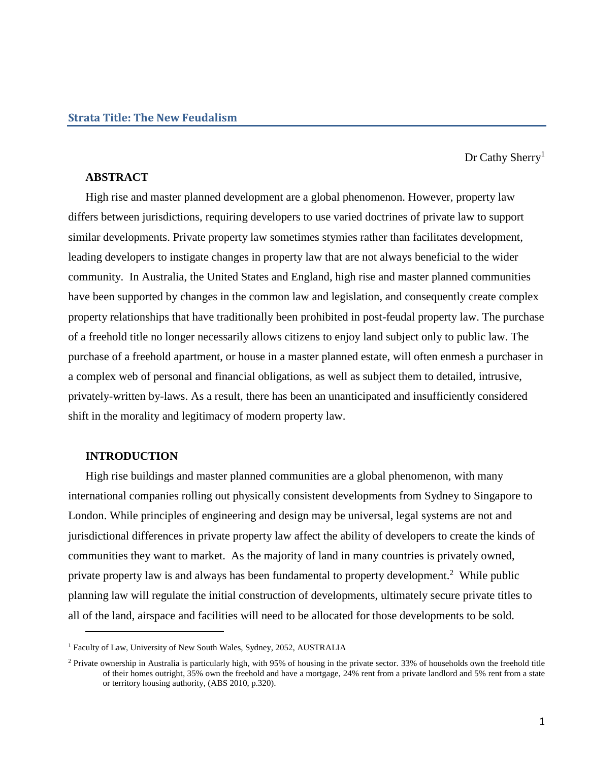Dr Cathy Sherry<sup>1</sup>

# **ABSTRACT**

High rise and master planned development are a global phenomenon. However, property law differs between jurisdictions, requiring developers to use varied doctrines of private law to support similar developments. Private property law sometimes stymies rather than facilitates development, leading developers to instigate changes in property law that are not always beneficial to the wider community. In Australia, the United States and England, high rise and master planned communities have been supported by changes in the common law and legislation, and consequently create complex property relationships that have traditionally been prohibited in post-feudal property law. The purchase of a freehold title no longer necessarily allows citizens to enjoy land subject only to public law. The purchase of a freehold apartment, or house in a master planned estate, will often enmesh a purchaser in a complex web of personal and financial obligations, as well as subject them to detailed, intrusive, privately-written by-laws. As a result, there has been an unanticipated and insufficiently considered shift in the morality and legitimacy of modern property law.

## **INTRODUCTION**

 $\overline{a}$ 

High rise buildings and master planned communities are a global phenomenon, with many international companies rolling out physically consistent developments from Sydney to Singapore to London. While principles of engineering and design may be universal, legal systems are not and jurisdictional differences in private property law affect the ability of developers to create the kinds of communities they want to market. As the majority of land in many countries is privately owned, private property law is and always has been fundamental to property development.<sup>2</sup> While public planning law will regulate the initial construction of developments, ultimately secure private titles to all of the land, airspace and facilities will need to be allocated for those developments to be sold.

<sup>&</sup>lt;sup>1</sup> Faculty of Law, University of New South Wales, Sydney, 2052, AUSTRALIA

<sup>&</sup>lt;sup>2</sup> Private ownership in Australia is particularly high, with 95% of housing in the private sector. 33% of households own the freehold title of their homes outright, 35% own the freehold and have a mortgage, 24% rent from a private landlord and 5% rent from a state or territory housing authority, (ABS 2010, p.320).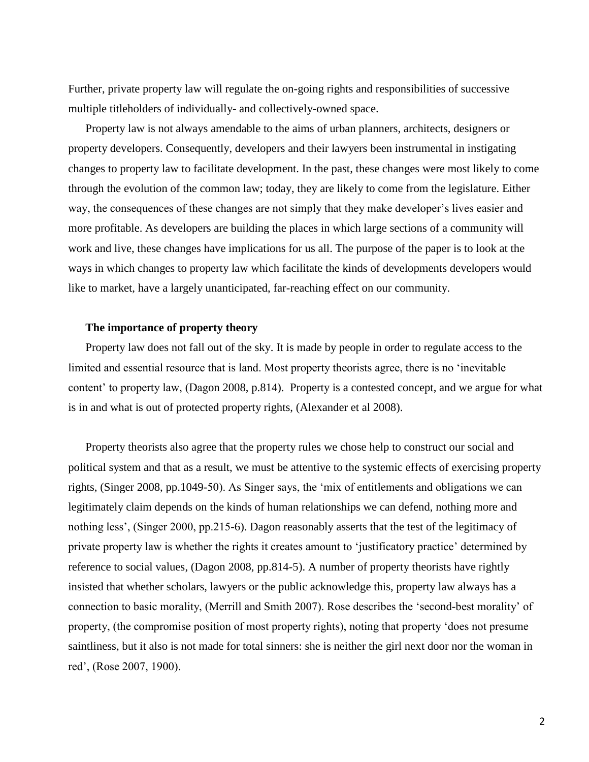Further, private property law will regulate the on-going rights and responsibilities of successive multiple titleholders of individually- and collectively-owned space.

Property law is not always amendable to the aims of urban planners, architects, designers or property developers. Consequently, developers and their lawyers been instrumental in instigating changes to property law to facilitate development. In the past, these changes were most likely to come through the evolution of the common law; today, they are likely to come from the legislature. Either way, the consequences of these changes are not simply that they make developer's lives easier and more profitable. As developers are building the places in which large sections of a community will work and live, these changes have implications for us all. The purpose of the paper is to look at the ways in which changes to property law which facilitate the kinds of developments developers would like to market, have a largely unanticipated, far-reaching effect on our community.

### **The importance of property theory**

Property law does not fall out of the sky. It is made by people in order to regulate access to the limited and essential resource that is land. Most property theorists agree, there is no 'inevitable content' to property law, (Dagon 2008, p.814). Property is a contested concept, and we argue for what is in and what is out of protected property rights, (Alexander et al 2008).

Property theorists also agree that the property rules we chose help to construct our social and political system and that as a result, we must be attentive to the systemic effects of exercising property rights, (Singer 2008, pp.1049-50). As Singer says, the 'mix of entitlements and obligations we can legitimately claim depends on the kinds of human relationships we can defend, nothing more and nothing less', (Singer 2000, pp.215-6). Dagon reasonably asserts that the test of the legitimacy of private property law is whether the rights it creates amount to 'justificatory practice' determined by reference to social values, (Dagon 2008, pp.814-5). A number of property theorists have rightly insisted that whether scholars, lawyers or the public acknowledge this, property law always has a connection to basic morality, (Merrill and Smith 2007). Rose describes the 'second-best morality' of property, (the compromise position of most property rights), noting that property 'does not presume saintliness, but it also is not made for total sinners: she is neither the girl next door nor the woman in red', (Rose 2007, 1900).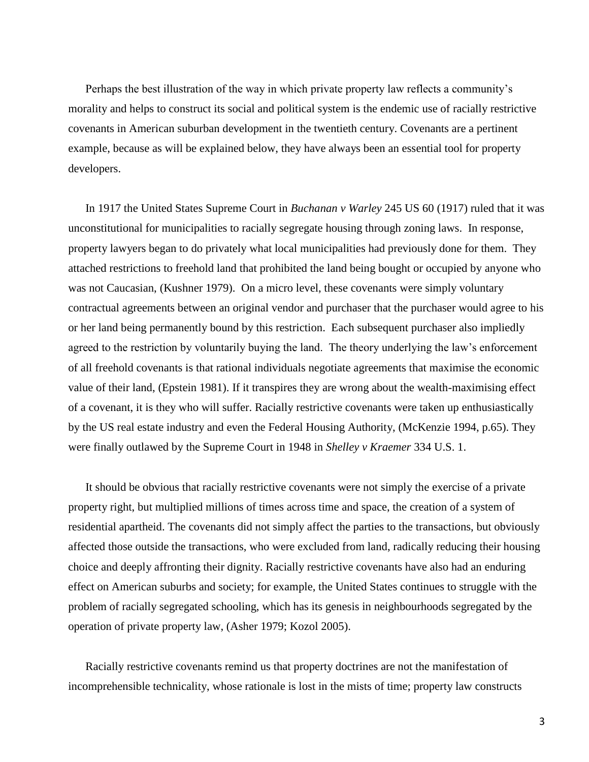Perhaps the best illustration of the way in which private property law reflects a community's morality and helps to construct its social and political system is the endemic use of racially restrictive covenants in American suburban development in the twentieth century. Covenants are a pertinent example, because as will be explained below, they have always been an essential tool for property developers.

In 1917 the United States Supreme Court in *Buchanan v Warley* 245 US 60 (1917) ruled that it was unconstitutional for municipalities to racially segregate housing through zoning laws. In response, property lawyers began to do privately what local municipalities had previously done for them. They attached restrictions to freehold land that prohibited the land being bought or occupied by anyone who was not Caucasian, (Kushner 1979). On a micro level, these covenants were simply voluntary contractual agreements between an original vendor and purchaser that the purchaser would agree to his or her land being permanently bound by this restriction. Each subsequent purchaser also impliedly agreed to the restriction by voluntarily buying the land. The theory underlying the law's enforcement of all freehold covenants is that rational individuals negotiate agreements that maximise the economic value of their land, (Epstein 1981). If it transpires they are wrong about the wealth-maximising effect of a covenant, it is they who will suffer. Racially restrictive covenants were taken up enthusiastically by the US real estate industry and even the Federal Housing Authority, (McKenzie 1994, p.65). They were finally outlawed by the Supreme Court in 1948 in *Shelley v Kraemer* 334 U.S. 1.

It should be obvious that racially restrictive covenants were not simply the exercise of a private property right, but multiplied millions of times across time and space, the creation of a system of residential apartheid. The covenants did not simply affect the parties to the transactions, but obviously affected those outside the transactions, who were excluded from land, radically reducing their housing choice and deeply affronting their dignity. Racially restrictive covenants have also had an enduring effect on American suburbs and society; for example, the United States continues to struggle with the problem of racially segregated schooling, which has its genesis in neighbourhoods segregated by the operation of private property law, (Asher 1979; Kozol 2005).

Racially restrictive covenants remind us that property doctrines are not the manifestation of incomprehensible technicality, whose rationale is lost in the mists of time; property law constructs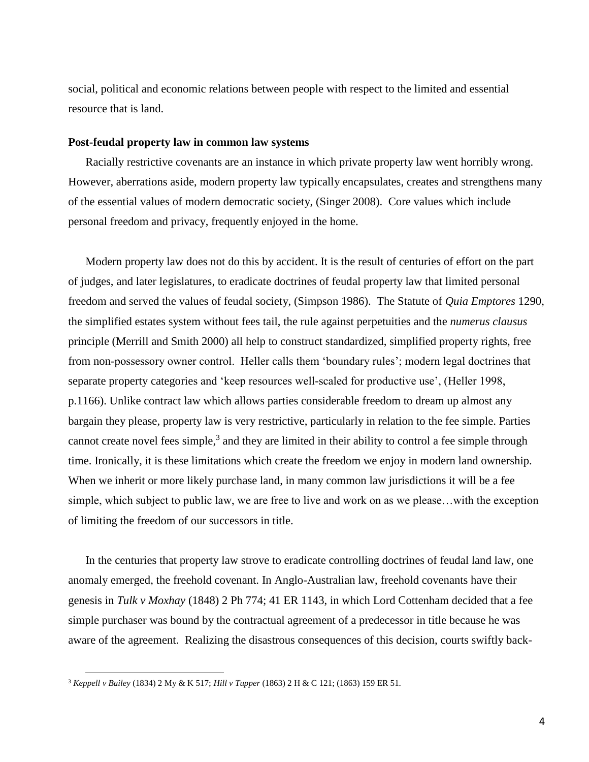social, political and economic relations between people with respect to the limited and essential resource that is land.

#### **Post-feudal property law in common law systems**

Racially restrictive covenants are an instance in which private property law went horribly wrong. However, aberrations aside, modern property law typically encapsulates, creates and strengthens many of the essential values of modern democratic society, (Singer 2008). Core values which include personal freedom and privacy, frequently enjoyed in the home.

Modern property law does not do this by accident. It is the result of centuries of effort on the part of judges, and later legislatures, to eradicate doctrines of feudal property law that limited personal freedom and served the values of feudal society, (Simpson 1986). The Statute of *Quia Emptores* 1290, the simplified estates system without fees tail, the rule against perpetuities and the *numerus clausus* principle (Merrill and Smith 2000) all help to construct standardized, simplified property rights, free from non-possessory owner control. Heller calls them 'boundary rules'; modern legal doctrines that separate property categories and 'keep resources well-scaled for productive use', (Heller 1998, p.1166). Unlike contract law which allows parties considerable freedom to dream up almost any bargain they please, property law is very restrictive, particularly in relation to the fee simple. Parties cannot create novel fees simple,<sup>3</sup> and they are limited in their ability to control a fee simple through time. Ironically, it is these limitations which create the freedom we enjoy in modern land ownership. When we inherit or more likely purchase land, in many common law jurisdictions it will be a fee simple, which subject to public law, we are free to live and work on as we please…with the exception of limiting the freedom of our successors in title.

In the centuries that property law strove to eradicate controlling doctrines of feudal land law, one anomaly emerged, the freehold covenant. In Anglo-Australian law, freehold covenants have their genesis in *Tulk v Moxhay* (1848) 2 Ph 774; 41 ER 1143, in which Lord Cottenham decided that a fee simple purchaser was bound by the contractual agreement of a predecessor in title because he was aware of the agreement. Realizing the disastrous consequences of this decision, courts swiftly back-

 $\overline{\phantom{a}}$ 

<sup>3</sup> *Keppell v Bailey* (1834) 2 My & K 517; *Hill v Tupper* (1863) 2 H & C 121; (1863) 159 ER 51.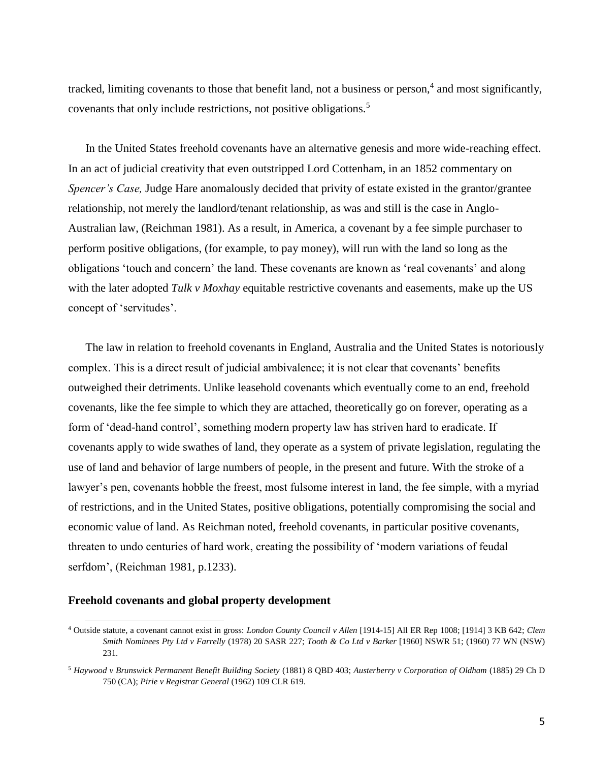tracked, limiting covenants to those that benefit land, not a business or person,<sup>4</sup> and most significantly, covenants that only include restrictions, not positive obligations.<sup>5</sup>

In the United States freehold covenants have an alternative genesis and more wide-reaching effect. In an act of judicial creativity that even outstripped Lord Cottenham, in an 1852 commentary on *Spencer's Case,* Judge Hare anomalously decided that privity of estate existed in the grantor/grantee relationship, not merely the landlord/tenant relationship, as was and still is the case in Anglo-Australian law, (Reichman 1981). As a result, in America, a covenant by a fee simple purchaser to perform positive obligations, (for example, to pay money), will run with the land so long as the obligations 'touch and concern' the land. These covenants are known as 'real covenants' and along with the later adopted *Tulk v Moxhay* equitable restrictive covenants and easements, make up the US concept of 'servitudes'.

The law in relation to freehold covenants in England, Australia and the United States is notoriously complex. This is a direct result of judicial ambivalence; it is not clear that covenants' benefits outweighed their detriments. Unlike leasehold covenants which eventually come to an end, freehold covenants, like the fee simple to which they are attached, theoretically go on forever, operating as a form of 'dead-hand control', something modern property law has striven hard to eradicate. If covenants apply to wide swathes of land, they operate as a system of private legislation, regulating the use of land and behavior of large numbers of people, in the present and future. With the stroke of a lawyer's pen, covenants hobble the freest, most fulsome interest in land, the fee simple, with a myriad of restrictions, and in the United States, positive obligations, potentially compromising the social and economic value of land. As Reichman noted, freehold covenants, in particular positive covenants, threaten to undo centuries of hard work, creating the possibility of 'modern variations of feudal serfdom', (Reichman 1981, p.1233).

### **Freehold covenants and global property development**

 $\overline{\phantom{a}}$ 

<sup>4</sup> Outside statute, a covenant cannot exist in gross: *London County Council v Allen* [1914-15] All ER Rep 1008; [1914] 3 KB 642; *Clem Smith Nominees Pty Ltd v Farrelly* (1978) 20 SASR 227; *Tooth & Co Ltd v Barker* [1960] NSWR 51; (1960) 77 WN (NSW) 231.

<sup>5</sup> *Haywood v Brunswick Permanent Benefit Building Society* (1881) 8 QBD 403; *Austerberry v Corporation of Oldham* (1885) 29 Ch D 750 (CA); *Pirie v Registrar General* (1962) 109 CLR 619.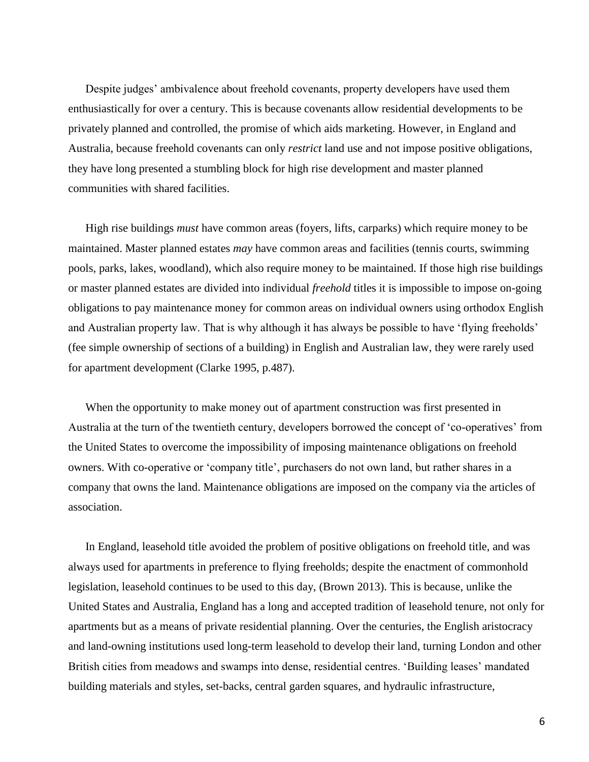Despite judges' ambivalence about freehold covenants, property developers have used them enthusiastically for over a century. This is because covenants allow residential developments to be privately planned and controlled, the promise of which aids marketing. However, in England and Australia, because freehold covenants can only *restrict* land use and not impose positive obligations, they have long presented a stumbling block for high rise development and master planned communities with shared facilities.

High rise buildings *must* have common areas (foyers, lifts, carparks) which require money to be maintained. Master planned estates *may* have common areas and facilities (tennis courts, swimming pools, parks, lakes, woodland), which also require money to be maintained. If those high rise buildings or master planned estates are divided into individual *freehold* titles it is impossible to impose on-going obligations to pay maintenance money for common areas on individual owners using orthodox English and Australian property law. That is why although it has always be possible to have 'flying freeholds' (fee simple ownership of sections of a building) in English and Australian law, they were rarely used for apartment development (Clarke 1995, p.487).

When the opportunity to make money out of apartment construction was first presented in Australia at the turn of the twentieth century, developers borrowed the concept of 'co-operatives' from the United States to overcome the impossibility of imposing maintenance obligations on freehold owners. With co-operative or 'company title', purchasers do not own land, but rather shares in a company that owns the land. Maintenance obligations are imposed on the company via the articles of association.

In England, leasehold title avoided the problem of positive obligations on freehold title, and was always used for apartments in preference to flying freeholds; despite the enactment of commonhold legislation, leasehold continues to be used to this day, (Brown 2013). This is because, unlike the United States and Australia, England has a long and accepted tradition of leasehold tenure, not only for apartments but as a means of private residential planning. Over the centuries, the English aristocracy and land-owning institutions used long-term leasehold to develop their land, turning London and other British cities from meadows and swamps into dense, residential centres. 'Building leases' mandated building materials and styles, set-backs, central garden squares, and hydraulic infrastructure,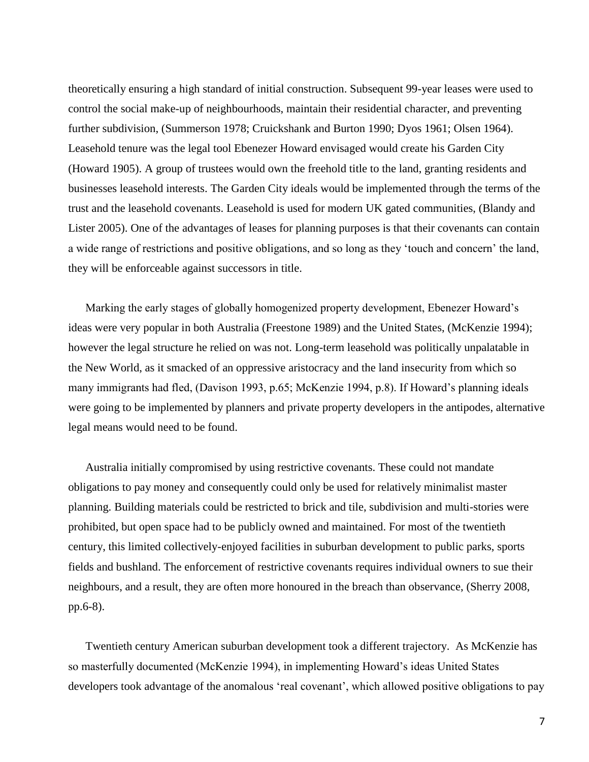theoretically ensuring a high standard of initial construction. Subsequent 99-year leases were used to control the social make-up of neighbourhoods, maintain their residential character, and preventing further subdivision, (Summerson 1978; Cruickshank and Burton 1990; Dyos 1961; Olsen 1964). Leasehold tenure was the legal tool Ebenezer Howard envisaged would create his Garden City (Howard 1905). A group of trustees would own the freehold title to the land, granting residents and businesses leasehold interests. The Garden City ideals would be implemented through the terms of the trust and the leasehold covenants. Leasehold is used for modern UK gated communities, (Blandy and Lister 2005). One of the advantages of leases for planning purposes is that their covenants can contain a wide range of restrictions and positive obligations, and so long as they 'touch and concern' the land, they will be enforceable against successors in title.

Marking the early stages of globally homogenized property development, Ebenezer Howard's ideas were very popular in both Australia (Freestone 1989) and the United States, (McKenzie 1994); however the legal structure he relied on was not. Long-term leasehold was politically unpalatable in the New World, as it smacked of an oppressive aristocracy and the land insecurity from which so many immigrants had fled, (Davison 1993, p.65; McKenzie 1994, p.8). If Howard's planning ideals were going to be implemented by planners and private property developers in the antipodes, alternative legal means would need to be found.

Australia initially compromised by using restrictive covenants. These could not mandate obligations to pay money and consequently could only be used for relatively minimalist master planning. Building materials could be restricted to brick and tile, subdivision and multi-stories were prohibited, but open space had to be publicly owned and maintained. For most of the twentieth century, this limited collectively-enjoyed facilities in suburban development to public parks, sports fields and bushland. The enforcement of restrictive covenants requires individual owners to sue their neighbours, and a result, they are often more honoured in the breach than observance, (Sherry 2008, pp.6-8).

Twentieth century American suburban development took a different trajectory. As McKenzie has so masterfully documented (McKenzie 1994), in implementing Howard's ideas United States developers took advantage of the anomalous 'real covenant', which allowed positive obligations to pay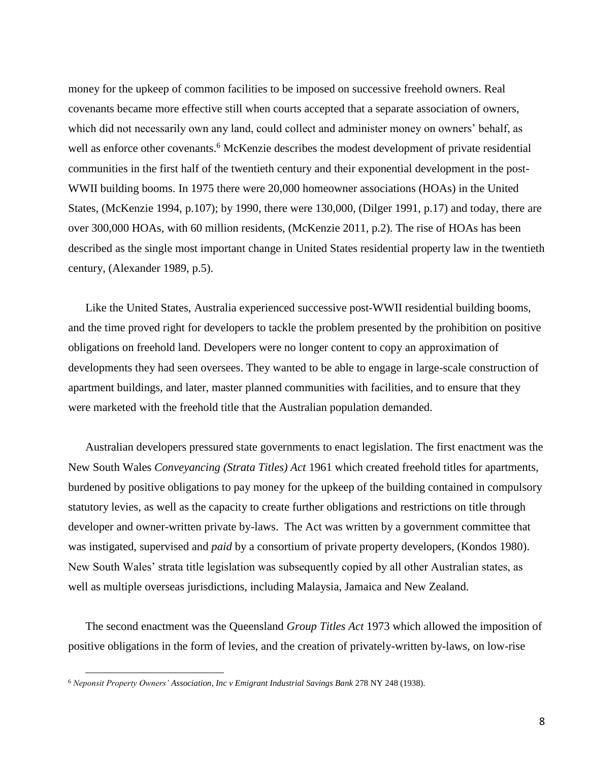money for the upkeep of common facilities to be imposed on successive freehold owners. Real covenants became more effective still when courts accepted that a separate association of owners, which did not necessarily own any land, could collect and administer money on owners' behalf, as well as enforce other covenants.<sup>6</sup> McKenzie describes the modest development of private residential communities in the first half of the twentieth century and their exponential development in the post-WWII building booms. In 1975 there were 20,000 homeowner associations (HOAs) in the United States, (McKenzie 1994, p.107); by 1990, there were 130,000, (Dilger 1991, p.17) and today, there are over 300,000 HOAs, with 60 million residents, (McKenzie 2011, p.2). The rise of HOAs has been described as the single most important change in United States residential property law in the twentieth century, (Alexander 1989, p.5).

Like the United States, Australia experienced successive post-WWII residential building booms, and the time proved right for developers to tackle the problem presented by the prohibition on positive obligations on freehold land. Developers were no longer content to copy an approximation of developments they had seen oversees. They wanted to be able to engage in large-scale construction of apartment buildings, and later, master planned communities with facilities, and to ensure that they were marketed with the freehold title that the Australian population demanded.

Australian developers pressured state governments to enact legislation. The first enactment was the New South Wales *Conveyancing (Strata Titles) Act* 1961 which created freehold titles for apartments, burdened by positive obligations to pay money for the upkeep of the building contained in compulsory statutory levies, as well as the capacity to create further obligations and restrictions on title through developer and owner-written private by-laws. The Act was written by a government committee that was instigated, supervised and *paid* by a consortium of private property developers, (Kondos 1980). New South Wales' strata title legislation was subsequently copied by all other Australian states, as well as multiple overseas jurisdictions, including Malaysia, Jamaica and New Zealand.

The second enactment was the Queensland *Group Titles Act* 1973 which allowed the imposition of positive obligations in the form of levies, and the creation of privately-written by-laws, on low-rise

 $\overline{\phantom{a}}$ 

<sup>6</sup> *Neponsit Property Owners' Association, Inc v Emigrant Industrial Savings Bank* 278 NY 248 (1938).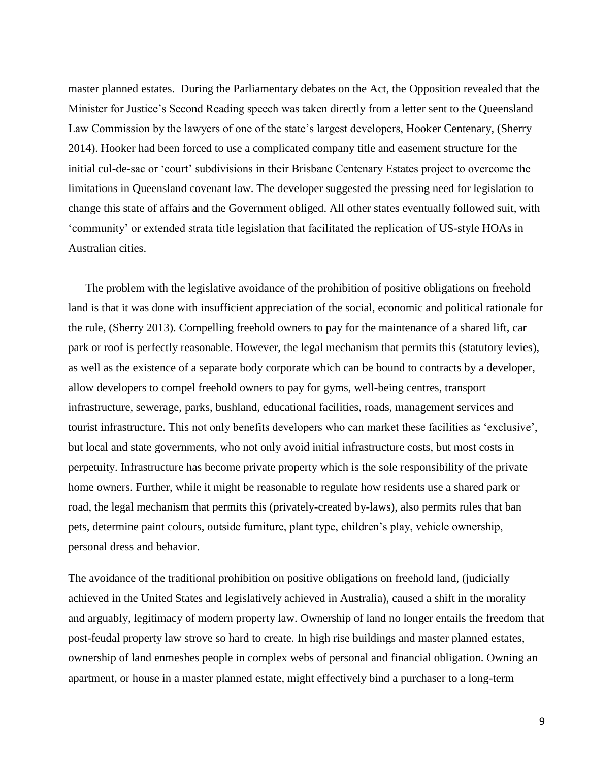master planned estates. During the Parliamentary debates on the Act, the Opposition revealed that the Minister for Justice's Second Reading speech was taken directly from a letter sent to the Queensland Law Commission by the lawyers of one of the state's largest developers, Hooker Centenary, (Sherry 2014). Hooker had been forced to use a complicated company title and easement structure for the initial cul-de-sac or 'court' subdivisions in their Brisbane Centenary Estates project to overcome the limitations in Queensland covenant law. The developer suggested the pressing need for legislation to change this state of affairs and the Government obliged. All other states eventually followed suit, with 'community' or extended strata title legislation that facilitated the replication of US-style HOAs in Australian cities.

The problem with the legislative avoidance of the prohibition of positive obligations on freehold land is that it was done with insufficient appreciation of the social, economic and political rationale for the rule, (Sherry 2013). Compelling freehold owners to pay for the maintenance of a shared lift, car park or roof is perfectly reasonable. However, the legal mechanism that permits this (statutory levies), as well as the existence of a separate body corporate which can be bound to contracts by a developer, allow developers to compel freehold owners to pay for gyms, well-being centres, transport infrastructure, sewerage, parks, bushland, educational facilities, roads, management services and tourist infrastructure. This not only benefits developers who can market these facilities as 'exclusive', but local and state governments, who not only avoid initial infrastructure costs, but most costs in perpetuity. Infrastructure has become private property which is the sole responsibility of the private home owners. Further, while it might be reasonable to regulate how residents use a shared park or road, the legal mechanism that permits this (privately-created by-laws), also permits rules that ban pets, determine paint colours, outside furniture, plant type, children's play, vehicle ownership, personal dress and behavior.

The avoidance of the traditional prohibition on positive obligations on freehold land, (judicially achieved in the United States and legislatively achieved in Australia), caused a shift in the morality and arguably, legitimacy of modern property law. Ownership of land no longer entails the freedom that post-feudal property law strove so hard to create. In high rise buildings and master planned estates, ownership of land enmeshes people in complex webs of personal and financial obligation. Owning an apartment, or house in a master planned estate, might effectively bind a purchaser to a long-term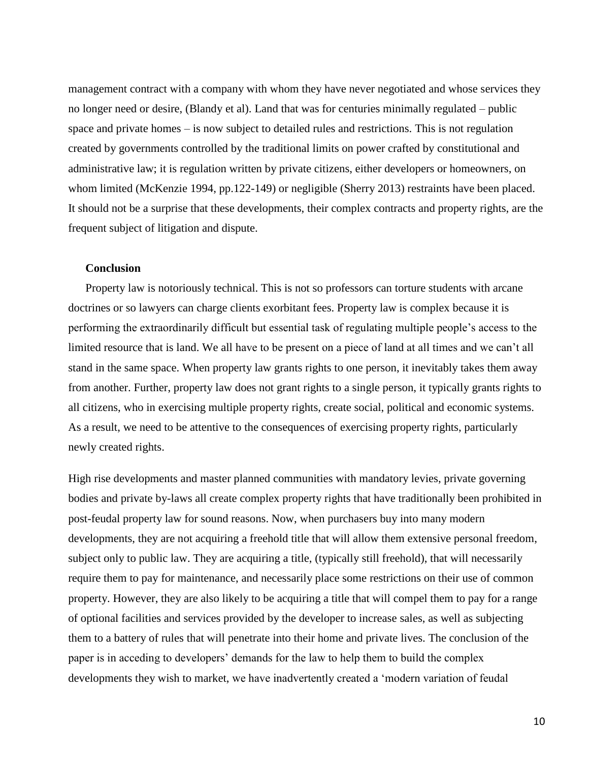management contract with a company with whom they have never negotiated and whose services they no longer need or desire, (Blandy et al). Land that was for centuries minimally regulated – public space and private homes – is now subject to detailed rules and restrictions. This is not regulation created by governments controlled by the traditional limits on power crafted by constitutional and administrative law; it is regulation written by private citizens, either developers or homeowners, on whom limited (McKenzie 1994, pp.122-149) or negligible (Sherry 2013) restraints have been placed. It should not be a surprise that these developments, their complex contracts and property rights, are the frequent subject of litigation and dispute.

### **Conclusion**

Property law is notoriously technical. This is not so professors can torture students with arcane doctrines or so lawyers can charge clients exorbitant fees. Property law is complex because it is performing the extraordinarily difficult but essential task of regulating multiple people's access to the limited resource that is land. We all have to be present on a piece of land at all times and we can't all stand in the same space. When property law grants rights to one person, it inevitably takes them away from another. Further, property law does not grant rights to a single person, it typically grants rights to all citizens, who in exercising multiple property rights, create social, political and economic systems. As a result, we need to be attentive to the consequences of exercising property rights, particularly newly created rights.

High rise developments and master planned communities with mandatory levies, private governing bodies and private by-laws all create complex property rights that have traditionally been prohibited in post-feudal property law for sound reasons. Now, when purchasers buy into many modern developments, they are not acquiring a freehold title that will allow them extensive personal freedom, subject only to public law. They are acquiring a title, (typically still freehold), that will necessarily require them to pay for maintenance, and necessarily place some restrictions on their use of common property. However, they are also likely to be acquiring a title that will compel them to pay for a range of optional facilities and services provided by the developer to increase sales, as well as subjecting them to a battery of rules that will penetrate into their home and private lives. The conclusion of the paper is in acceding to developers' demands for the law to help them to build the complex developments they wish to market, we have inadvertently created a 'modern variation of feudal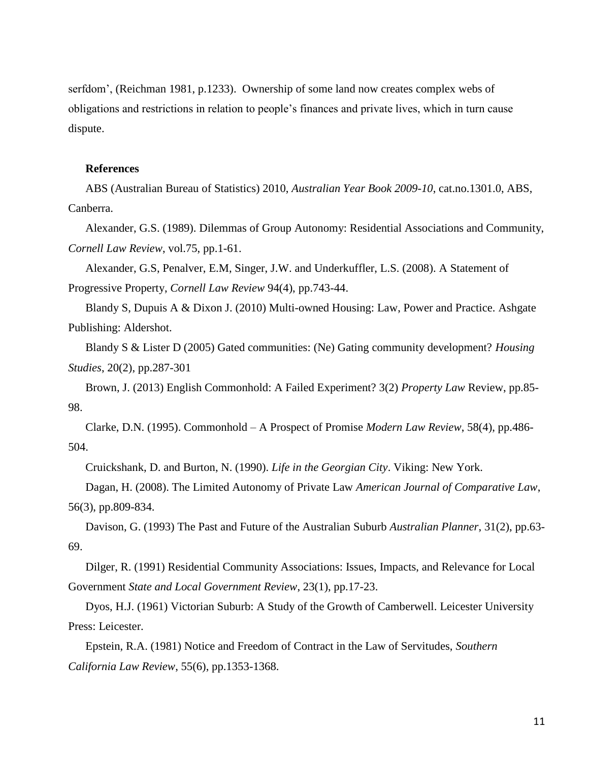serfdom', (Reichman 1981, p.1233). Ownership of some land now creates complex webs of obligations and restrictions in relation to people's finances and private lives, which in turn cause dispute.

### **References**

ABS (Australian Bureau of Statistics) 2010, *Australian Year Book 2009-10*, cat.no.1301.0, ABS, Canberra.

Alexander, G.S. (1989). Dilemmas of Group Autonomy: Residential Associations and Community, *Cornell Law Review*, vol.75, pp.1-61.

Alexander, G.S, Penalver, E.M, Singer, J.W. and Underkuffler, L.S. (2008). A Statement of Progressive Property, *Cornell Law Review* 94(4), pp.743-44.

Blandy S, Dupuis A & Dixon J. (2010) Multi-owned Housing: Law, Power and Practice. Ashgate Publishing: Aldershot.

Blandy S & Lister D (2005) Gated communities: (Ne) Gating community development? *Housing Studies*, 20(2), pp.287-301

Brown, J. (2013) English Commonhold: A Failed Experiment? 3(2) *Property Law* Review, pp.85- 98.

Clarke, D.N. (1995). Commonhold – A Prospect of Promise *Modern Law Review*, 58(4), pp.486- 504.

Cruickshank, D. and Burton, N. (1990). *Life in the Georgian City*. Viking: New York.

Dagan, H. (2008). The Limited Autonomy of Private Law *American Journal of Comparative Law*, 56(3), pp.809-834.

Davison, G. (1993) The Past and Future of the Australian Suburb *Australian Planner*, 31(2), pp.63- 69.

Dilger, R. (1991) Residential Community Associations: Issues, Impacts, and Relevance for Local Government *State and Local Government Review*, 23(1), pp.17-23.

Dyos, H.J. (1961) Victorian Suburb: A Study of the Growth of Camberwell. Leicester University Press: Leicester.

Epstein, R.A. (1981) Notice and Freedom of Contract in the Law of Servitudes, *Southern California Law Review*, 55(6), pp.1353-1368.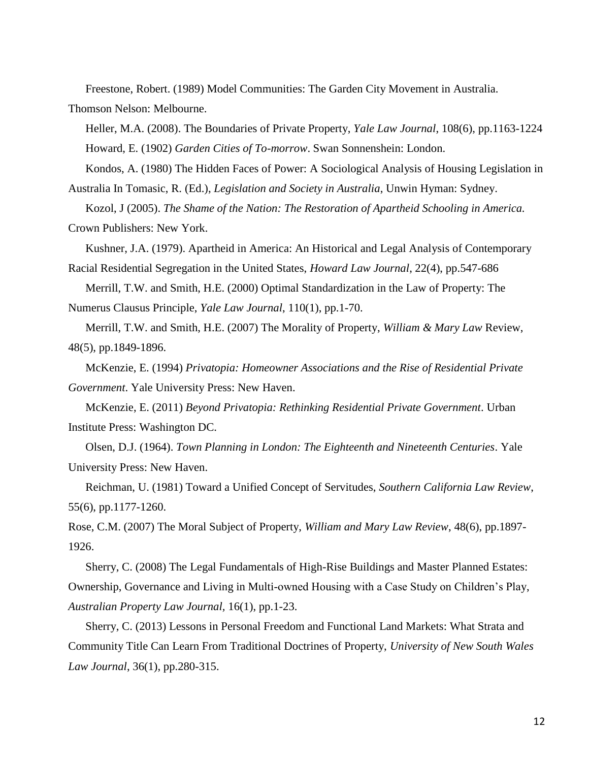Freestone, Robert. (1989) Model Communities: The Garden City Movement in Australia.

Thomson Nelson: Melbourne.

Heller, M.A. (2008). The Boundaries of Private Property, *Yale Law Journal*, 108(6), pp.1163-1224 Howard, E. (1902) *Garden Cities of To-morrow*. Swan Sonnenshein: London.

Kondos, A. (1980) The Hidden Faces of Power: A Sociological Analysis of Housing Legislation in Australia In Tomasic, R. (Ed.), *Legislation and Society in Australia*, Unwin Hyman: Sydney.

Kozol, J (2005). *The Shame of the Nation: The Restoration of Apartheid Schooling in America.* Crown Publishers: New York.

Kushner, J.A. (1979). Apartheid in America: An Historical and Legal Analysis of Contemporary Racial Residential Segregation in the United States, *Howard Law Journal*, 22(4), pp.547-686

Merrill, T.W. and Smith, H.E. (2000) Optimal Standardization in the Law of Property: The Numerus Clausus Principle, *Yale Law Journal*, 110(1), pp.1-70.

Merrill, T.W. and Smith, H.E. (2007) The Morality of Property, *William & Mary Law* Review, 48(5), pp.1849-1896.

McKenzie, E. (1994) *Privatopia: Homeowner Associations and the Rise of Residential Private Government*. Yale University Press: New Haven.

McKenzie, E. (2011) *Beyond Privatopia: Rethinking Residential Private Government*. Urban Institute Press: Washington DC.

Olsen, D.J. (1964). *Town Planning in London: The Eighteenth and Nineteenth Centuries*. Yale University Press: New Haven.

Reichman, U. (1981) Toward a Unified Concept of Servitudes, *Southern California Law Review*, 55(6), pp.1177-1260.

Rose, C.M. (2007) The Moral Subject of Property, *William and Mary Law Review*, 48(6), pp.1897- 1926.

Sherry, C. (2008) The Legal Fundamentals of High-Rise Buildings and Master Planned Estates: Ownership, Governance and Living in Multi-owned Housing with a Case Study on Children's Play, *Australian Property Law Journal,* 16(1), pp.1-23.

Sherry, C. (2013) Lessons in Personal Freedom and Functional Land Markets: What Strata and Community Title Can Learn From Traditional Doctrines of Property, *University of New South Wales Law Journal*, 36(1), pp.280-315.